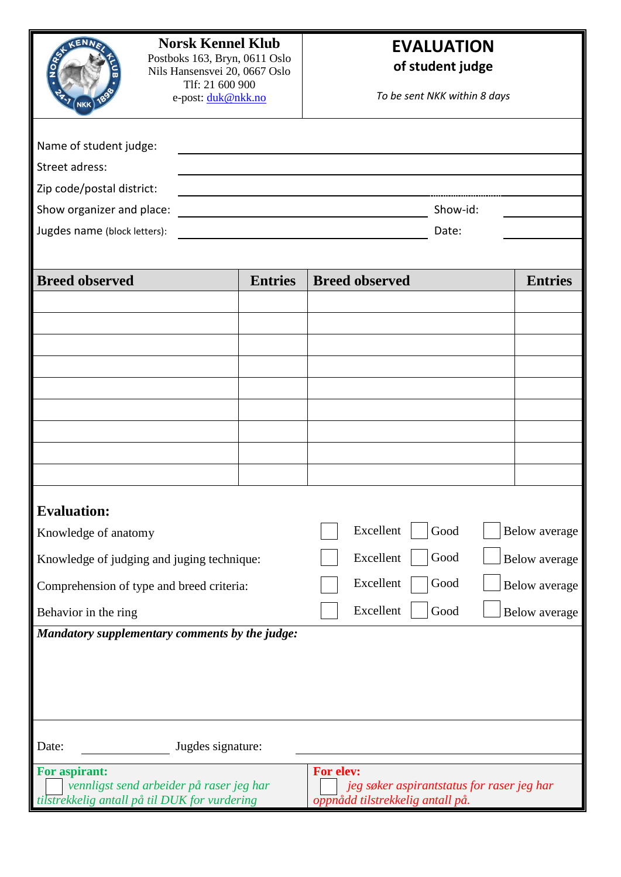| <b>Norsk Kennel Klub</b><br>Postboks 163, Bryn, 0611 Oslo<br>Nils Hansensvei 20, 0667 Oslo<br>Tlf: 21 600 900<br>e-post: duk@nkk.no<br><b>NKK</b><br>Name of student judge:<br>Street adress:<br>Zip code/postal district:<br>Show organizer and place:<br><u> 1989 - Johann Barn, mars ann an t-Amhain Aonaich an t-Aonaich an t-Aonaich ann an t-Aonaich ann an t-Aonaich</u> |                | <b>EVALUATION</b><br>of student judge<br>To be sent NKK within 8 days<br>Show-id: |                |
|---------------------------------------------------------------------------------------------------------------------------------------------------------------------------------------------------------------------------------------------------------------------------------------------------------------------------------------------------------------------------------|----------------|-----------------------------------------------------------------------------------|----------------|
| Jugdes name (block letters):<br>Date:                                                                                                                                                                                                                                                                                                                                           |                |                                                                                   |                |
| <b>Breed observed</b>                                                                                                                                                                                                                                                                                                                                                           | <b>Entries</b> | <b>Breed observed</b>                                                             | <b>Entries</b> |
| <b>Evaluation:</b>                                                                                                                                                                                                                                                                                                                                                              |                |                                                                                   |                |
| Excellent<br>Good<br>Knowledge of anatomy                                                                                                                                                                                                                                                                                                                                       |                |                                                                                   | Below average  |
| Knowledge of judging and juging technique:                                                                                                                                                                                                                                                                                                                                      |                | Excellent<br>Good                                                                 | Below average  |
| Comprehension of type and breed criteria:                                                                                                                                                                                                                                                                                                                                       |                | Excellent<br>Good                                                                 | Below average  |
| Behavior in the ring                                                                                                                                                                                                                                                                                                                                                            |                | Excellent<br>Good                                                                 | Below average  |
| Mandatory supplementary comments by the judge:<br>Date:<br>Jugdes signature:<br>For aspirant:<br>For elev:<br>vennligst send arbeider på raser jeg har<br>jeg søker aspirantstatus for raser jeg har<br>tilstrekkelig antall på til DUK for vurdering<br>oppnådd tilstrekkelig antall på.                                                                                       |                |                                                                                   |                |